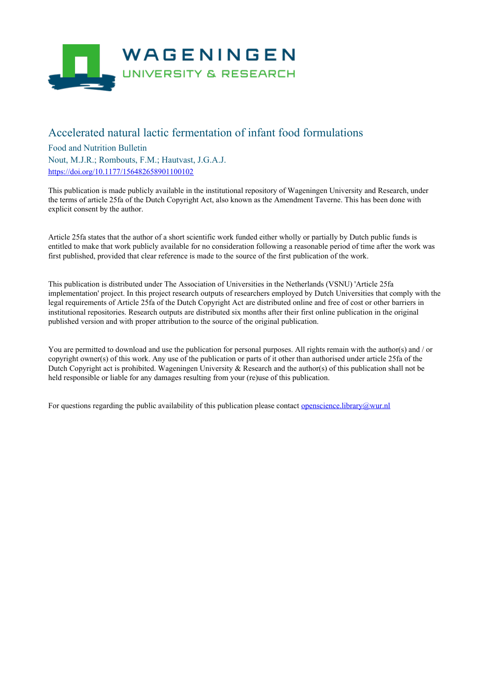

# Accelerated natural lactic fermentation of infant food formulations

Food and Nutrition Bulletin Nout, M.J.R.; Rombouts, F.M.; Hautvast, J.G.A.J. <https://doi.org/10.1177/156482658901100102>

This publication is made publicly available in the institutional repository of Wageningen University and Research, under the terms of article 25fa of the Dutch Copyright Act, also known as the Amendment Taverne. This has been done with explicit consent by the author.

Article 25fa states that the author of a short scientific work funded either wholly or partially by Dutch public funds is entitled to make that work publicly available for no consideration following a reasonable period of time after the work was first published, provided that clear reference is made to the source of the first publication of the work.

This publication is distributed under The Association of Universities in the Netherlands (VSNU) 'Article 25fa implementation' project. In this project research outputs of researchers employed by Dutch Universities that comply with the legal requirements of Article 25fa of the Dutch Copyright Act are distributed online and free of cost or other barriers in institutional repositories. Research outputs are distributed six months after their first online publication in the original published version and with proper attribution to the source of the original publication.

You are permitted to download and use the publication for personal purposes. All rights remain with the author(s) and / or copyright owner(s) of this work. Any use of the publication or parts of it other than authorised under article 25fa of the Dutch Copyright act is prohibited. Wageningen University & Research and the author(s) of this publication shall not be held responsible or liable for any damages resulting from your (re)use of this publication.

For questions regarding the public availability of this publication please contact <u>[openscience.library@wur.nl](mailto:openscience.library@wur.nl)</u>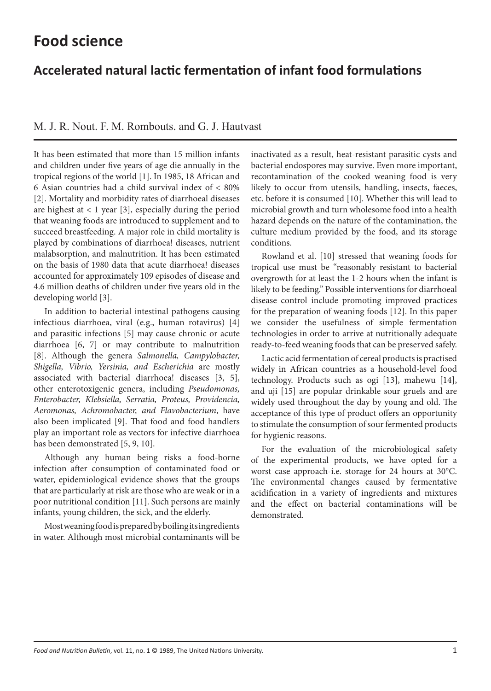# **Accelerated natural lactic fermentation of infant food formulations**

M. J. R. Nout. F. M. Rombouts. and G. J. Hautvast

It has been estimated that more than 15 million infants and children under five years of age die annually in the tropical regions of the world [1]. In 1985, 18 African and 6 Asian countries had a child survival index of < 80% [2]. Mortality and morbidity rates of diarrhoeal diseases are highest at  $< 1$  year [3], especially during the period that weaning foods are introduced to supplement and to succeed breastfeeding. A major role in child mortality is played by combinations of diarrhoea! diseases, nutrient malabsorption, and malnutrition. It has been estimated on the basis of 1980 data that acute diarrhoea! diseases accounted for approximately 109 episodes of disease and 4.6 million deaths of children under five years old in the developing world [3].

In addition to bacterial intestinal pathogens causing infectious diarrhoea, viral (e.g., human rotavirus) [4] and parasitic infections [5] may cause chronic or acute diarrhoea [6, 7] or may contribute to malnutrition [8]. Although the genera *Salmonella, Campylobacter, Shigella, Vibrio, Yersinia, and Escherichia* are mostly associated with bacterial diarrhoea! diseases [3, 5], other enterotoxigenic genera, including *Pseudomonas, Enterobacter, Klebsiella, Serratia, Proteus, Providencia, Aeromonas, Achromobacter, and Flavobacterium*, have also been implicated [9]. That food and food handlers play an important role as vectors for infective diarrhoea has been demonstrated [5, 9, 10].

Although any human being risks a food-borne infection after consumption of contaminated food or water, epidemiological evidence shows that the groups that are particularly at risk are those who are weak or in a poor nutritional condition [11]. Such persons are mainly infants, young children, the sick, and the elderly.

Most weaning food is prepared by boiling its ingredients in water. Although most microbial contaminants will be

inactivated as a result, heat-resistant parasitic cysts and bacterial endospores may survive. Even more important, recontamination of the cooked weaning food is very likely to occur from utensils, handling, insects, faeces, etc. before it is consumed [10]. Whether this will lead to microbial growth and turn wholesome food into a health hazard depends on the nature of the contamination, the culture medium provided by the food, and its storage conditions.

Rowland et al. [10] stressed that weaning foods for tropical use must be "reasonably resistant to bacterial overgrowth for at least the 1-2 hours when the infant is likely to be feeding." Possible interventions for diarrhoeal disease control include promoting improved practices for the preparation of weaning foods [12]. In this paper we consider the usefulness of simple fermentation technologies in order to arrive at nutritionally adequate ready-to-feed weaning foods that can be preserved safely.

Lactic acid fermentation of cereal products is practised widely in African countries as a household-level food technology. Products such as ogi [13], mahewu [14], and uji [15] are popular drinkable sour gruels and are widely used throughout the day by young and old. The acceptance of this type of product offers an opportunity to stimulate the consumption of sour fermented products for hygienic reasons.

For the evaluation of the microbiological safety of the experimental products, we have opted for a worst case approach-i.e. storage for 24 hours at 30°C. The environmental changes caused by fermentative acidification in a variety of ingredients and mixtures and the effect on bacterial contaminations will be demonstrated.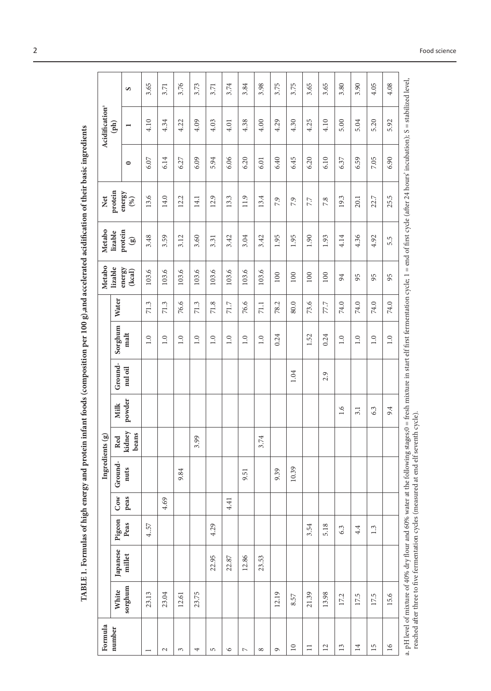TABLE 1. Formulas of high energy and protein infant foods (composition per 100 g),and accelerated acidification of their basic ingredients

| Formula                                                  |         |          |        |      | Ingredients (g)                                                                      |                 |        |         |         |          | Metabo           | Metabo             | Net                                                                                                                                                      |         | Acidification <sup>ª</sup>  |      |
|----------------------------------------------------------|---------|----------|--------|------|--------------------------------------------------------------------------------------|-----------------|--------|---------|---------|----------|------------------|--------------------|----------------------------------------------------------------------------------------------------------------------------------------------------------|---------|-----------------------------|------|
| number                                                   | White   | Japanese | Pigeon | Cow  | Ground-                                                                              | Red             | Milk   | Ground- | Sorghum | Water    | lizable          | protein<br>lizable | protein                                                                                                                                                  |         | $(\mathbf{p}^{\mathbf{h}})$ |      |
|                                                          | sorghum | millet   | Peas   | peas | nuts                                                                                 | kidney<br>beans | powder | nul oil | malt    |          | energy<br>(kca1) | $\circledast$      | energy<br>$(\%)$                                                                                                                                         | $\circ$ | $\overline{\phantom{0}}$    | S    |
|                                                          | 23.13   |          | 4.57   |      |                                                                                      |                 |        |         | 1.0     | 71.3     | 103.6            | 3.48               | 13.6                                                                                                                                                     | 6.07    | 4.10                        | 3.65 |
| $\sim$                                                   | 23.04   |          |        | 4.69 |                                                                                      |                 |        |         | 1.0     | 71.3     | 103.6            | 3.59               | 14.0                                                                                                                                                     | 6.14    | 4.34                        | 3.71 |
| 3                                                        | 12.61   |          |        |      | 9.84                                                                                 |                 |        |         | 1.0     | 76.6     | 103.6            | 3.12               | 12.2                                                                                                                                                     | 6.27    | 4.22                        | 3.76 |
| 4                                                        | 23.75   |          |        |      |                                                                                      | 3.99            |        |         | 1.0     | 71.3     | 103.6            | 3.60               | 14.1                                                                                                                                                     | 6.09    | 4.09                        | 3.73 |
| S                                                        |         | 22.95    | 4.29   |      |                                                                                      |                 |        |         | 1.0     | 71.8     | 103.6            | 3.31               | 12.9                                                                                                                                                     | 5.94    | 4.03                        | 3.71 |
| $\circ$                                                  |         | 22.87    |        | 4.41 |                                                                                      |                 |        |         | 1.0     | 71.7     | 103.6            | 3.42               | 13.3                                                                                                                                                     | 6.06    | 4.01                        | 3.74 |
| $\sim$                                                   |         | 12.86    |        |      | 9.51                                                                                 |                 |        |         | 1.0     | 76.6     | 103.6            | 3.04               | 11.9                                                                                                                                                     | 6.20    | 4.38                        | 3.84 |
| ${}^{\circ}$                                             |         | 23.53    |        |      |                                                                                      | 3.74            |        |         | 1.0     | $71.1\,$ | 103.6            | 3.42               | 13.4                                                                                                                                                     | 6.01    | 4.00                        | 3.98 |
| G                                                        | 12.19   |          |        |      | 9.39                                                                                 |                 |        |         | 0.24    | 78.2     | 100              | 1.95               | 7.9                                                                                                                                                      | 6.40    | 4.29                        | 3.75 |
| $\supseteq$                                              | 8.57    |          |        |      | 10.39                                                                                |                 |        | 1.04    |         | 80.0     | 100              | 1.95               | 7.9                                                                                                                                                      | 6.45    | 4.30                        | 3.75 |
| $\equiv$                                                 | 21.39   |          | 3.54   |      |                                                                                      |                 |        |         | 1.52    | 73.6     | 100              | 1.90               | 7.7                                                                                                                                                      | 6.20    | 4.25                        | 3.65 |
| $\overline{c}$                                           | 13.98   |          | 5.18   |      |                                                                                      |                 |        | 2.9     | 0.24    | 77.7     | 100              | 1.93               | 7.8                                                                                                                                                      | 6.10    | 4.10                        | 3.65 |
| 13                                                       | 17.2    |          | 6.3    |      |                                                                                      |                 | 1.6    |         | 1.0     | 74.0     | 94               | 4.14               | 19.3                                                                                                                                                     | 6.37    | 5.00                        | 3.80 |
| $\overline{14}$                                          | 17.5    |          | 4.4    |      |                                                                                      |                 | 3.1    |         | 1.0     | 74.0     | 95               | 4.36               | 20.1                                                                                                                                                     | 6.59    | 5.04                        | 3.90 |
| $\overline{15}$                                          | 17.5    |          | 1.3    |      |                                                                                      |                 | 6.3    |         | 1.0     | 74.0     | 95               | 4.92               | 22.7                                                                                                                                                     | 7.05    | 5.20                        | 4.05 |
| $\overline{16}$                                          | 15.6    |          |        |      |                                                                                      |                 | 9.4    |         | $1.0\,$ | 74.0     | 95               | 5.5                | 25.5                                                                                                                                                     | 6.90    | 5.92                        | 4.08 |
| a. pH level of mixture of 40% dry flour and 60% water at |         |          |        |      | reached after three to five fermentation cycles (measured at end elf seventh cycle). |                 |        |         |         |          |                  |                    | the following stages;0 = fresh mixture in start elf first fermentation cycle; 1 = end of first cycle (after 24 hours' incubation); S = stabilized level, |         |                             |      |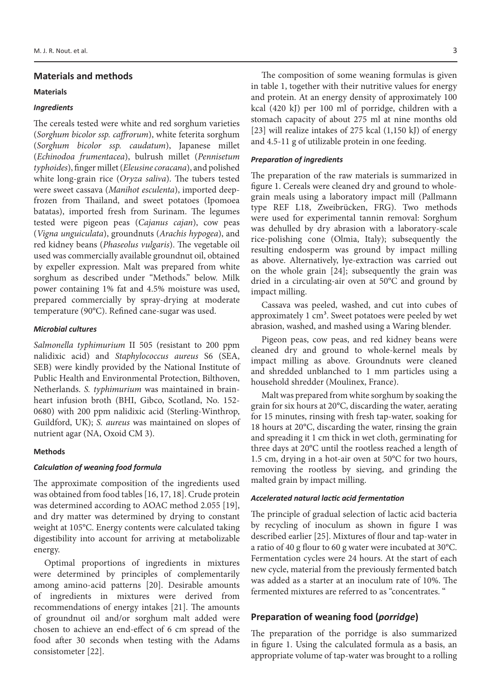# **Materials and methods**

#### **Materials**

## *Ingredients*

The cereals tested were white and red sorghum varieties (*Sorghum bicolor ssp. caffrorum*), white feterita sorghum (*Sorghum bicolor ssp. caudatum*), Japanese millet (*Echinodoa frumentacea*), bulrush millet (*Pennisetum typhoides*), finger millet (*Eleusine coracana*), and polished white long-grain rice (*Oryza saliva*). The tubers tested were sweet cassava (*Manihot esculenta*), imported deepfrozen from Thailand, and sweet potatoes (Ipomoea batatas), imported fresh from Surinam. The legumes tested were pigeon peas (*Cajanus cajan*), cow peas (*Vigna unguiculata*), groundnuts (*Arachis hypogea*), and red kidney beans (*Phaseolus vulgaris*). The vegetable oil used was commercially available groundnut oil, obtained by expeller expression. Malt was prepared from white sorghum as described under "Methods." below. Milk power containing 1% fat and 4.5% moisture was used, prepared commercially by spray-drying at moderate temperature (90°C). Refined cane-sugar was used.

#### *Microbial cultures*

*Salmonella typhimurium* II 505 (resistant to 200 ppm nalidixic acid) and *Staphylococcus aureus* S6 (SEA, SEB) were kindly provided by the National Institute of Public Health and Environmental Protection, Bilthoven, Netherlands. *S. typhimurium* was maintained in brainheart infusion broth (BHI, Gibco, Scotland, No. 152- 0680) with 200 ppm nalidixic acid (Sterling-Winthrop, Guildford, UK); *S. aureus* was maintained on slopes of nutrient agar (NA, Oxoid CM 3).

# **Methods**

#### *Calculation of weaning food formula*

The approximate composition of the ingredients used was obtained from food tables [16, 17, 18]. Crude protein was determined according to AOAC method 2.055 [19], and dry matter was determined by drying to constant weight at 105°C. Energy contents were calculated taking digestibility into account for arriving at metabolizable energy.

Optimal proportions of ingredients in mixtures were determined by principles of complementarily among amino-acid patterns [20]. Desirable amounts of ingredients in mixtures were derived from recommendations of energy intakes [21]. The amounts of groundnut oil and/or sorghum malt added were chosen to achieve an end-effect of 6 cm spread of the food after 30 seconds when testing with the Adams consistometer [22].

The composition of some weaning formulas is given in table 1, together with their nutritive values for energy and protein. At an energy density of approximately 100 kcal (420 kJ) per 100 ml of porridge, children with a stomach capacity of about 275 ml at nine months old [23] will realize intakes of 275 kcal (1,150 kJ) of energy and 4.5-11 g of utilizable protein in one feeding.

#### *Preparation of ingredients*

The preparation of the raw materials is summarized in figure 1. Cereals were cleaned dry and ground to wholegrain meals using a laboratory impact mill (Pallmann type REF L18, Zweibrücken, FRG). Two methods were used for experimental tannin removal: Sorghum was dehulled by dry abrasion with a laboratory-scale rice-polishing cone (Olmia, Italy); subsequently the resulting endosperm was ground by impact milling as above. Alternatively, lye-extraction was carried out on the whole grain [24]; subsequently the grain was dried in a circulating-air oven at 50°C and ground by impact milling.

Cassava was peeled, washed, and cut into cubes of approximately  $1 \text{ cm}^3$ . Sweet potatoes were peeled by wet abrasion, washed, and mashed using a Waring blender.

Pigeon peas, cow peas, and red kidney beans were cleaned dry and ground to whole-kernel meals by impact milling as above. Groundnuts were cleaned and shredded unblanched to 1 mm particles using a household shredder (Moulinex, France).

Malt was prepared from white sorghum by soaking the grain for six hours at 20°C, discarding the water, aerating for 15 minutes, rinsing with fresh tap-water, soaking for 18 hours at 20°C, discarding the water, rinsing the grain and spreading it 1 cm thick in wet cloth, germinating for three days at 20°C until the rootless reached a length of 1.5 cm, drying in a hot-air oven at 50°C for two hours, removing the rootless by sieving, and grinding the malted grain by impact milling.

# *Accelerated natural lactic acid fermentation*

The principle of gradual selection of lactic acid bacteria by recycling of inoculum as shown in figure I was described earlier [25]. Mixtures of flour and tap-water in a ratio of 40 g flour to 60 g water were incubated at 30°C. Fermentation cycles were 24 hours. At the start of each new cycle, material from the previously fermented batch was added as a starter at an inoculum rate of 10%. The fermented mixtures are referred to as "concentrates. "

# **Preparation of weaning food (***porridge***)**

The preparation of the porridge is also summarized in figure 1. Using the calculated formula as a basis, an appropriate volume of tap-water was brought to a rolling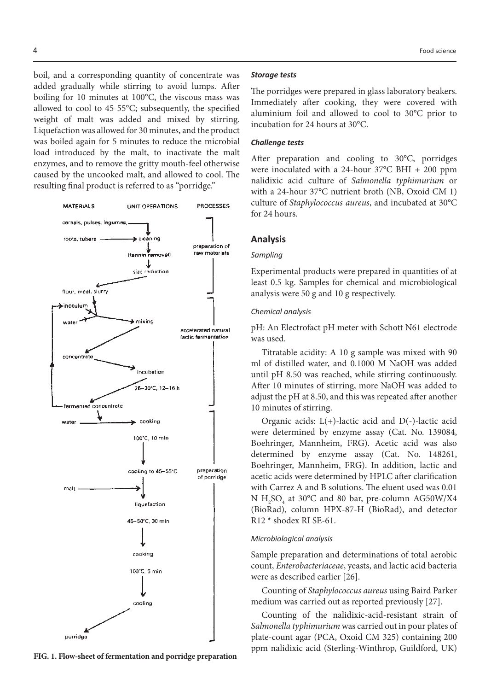boil, and a corresponding quantity of concentrate was added gradually while stirring to avoid lumps. After boiling for 10 minutes at 100°C, the viscous mass was allowed to cool to 45-55°C; subsequently, the specified weight of malt was added and mixed by stirring. Liquefaction was allowed for 30 minutes, and the product was boiled again for 5 minutes to reduce the microbial load introduced by the malt, to inactivate the malt enzymes, and to remove the gritty mouth-feel otherwise caused by the uncooked malt, and allowed to cool. The resulting final product is referred to as "porridge."



**FIG. 1. Flow-sheet of fermentation and porridge preparation**

#### *Storage tests*

The porridges were prepared in glass laboratory beakers. Immediately after cooking, they were covered with aluminium foil and allowed to cool to 30°C prior to incubation for 24 hours at 30°C.

# *Challenge tests*

After preparation and cooling to 30°C, porridges were inoculated with a 24-hour 37°C BHI + 200 ppm nalidixic acid culture of *Salmonella typhimurium* or with a 24-hour 37°C nutrient broth (NB, Oxoid CM 1) culture of *Staphylococcus aureus*, and incubated at 30°C for 24 hours.

#### **Analysis**

#### *Sampling*

Experimental products were prepared in quantities of at least 0.5 kg. Samples for chemical and microbiological analysis were 50 g and 10 g respectively.

#### *Chemical analysis*

pH: An Electrofact pH meter with Schott N61 electrode was used.

Titratable acidity: A 10 g sample was mixed with 90 ml of distilled water, and 0.1000 M NaOH was added until pH 8.50 was reached, while stirring continuously. After 10 minutes of stirring, more NaOH was added to adjust the pH at 8.50, and this was repeated after another 10 minutes of stirring.

Organic acids:  $L(+)$ -lactic acid and  $D(-)$ -lactic acid were determined by enzyme assay (Cat. No. 139084, Boehringer, Mannheim, FRG). Acetic acid was also determined by enzyme assay (Cat. No. 148261, Boehringer, Mannheim, FRG). In addition, lactic and acetic acids were determined by HPLC after clarification with Carrez A and B solutions. The eluent used was 0.01  $N H<sub>2</sub>SO<sub>4</sub>$  at 30°C and 80 bar, pre-column AG50W/X4 (BioRad), column HPX-87-H (BioRad), and detector R12 \* shodex RI SE-61.

#### *Microbiological analysis*

Sample preparation and determinations of total aerobic count, *Enterobacteriaceae*, yeasts, and lactic acid bacteria were as described earlier [26].

Counting of *Staphylococcus aureus* using Baird Parker medium was carried out as reported previously [27].

Counting of the nalidixic-acid-resistant strain of *Salmonella typhimurium* was carried out in pour plates of plate-count agar (PCA, Oxoid CM 325) containing 200 ppm nalidixic acid (Sterling-Winthrop, Guildford, UK)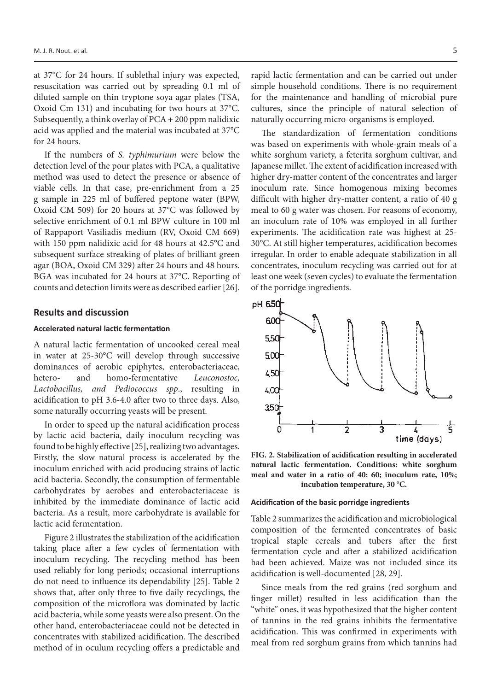at 37°C for 24 hours. If sublethal injury was expected, resuscitation was carried out by spreading 0.1 ml of diluted sample on thin tryptone soya agar plates (TSA, Oxoid Cm 131) and incubating for two hours at 37°C. Subsequently, a think overlay of PCA + 200 ppm nalidixic acid was applied and the material was incubated at 37°C for 24 hours.

If the numbers of *S. typhimurium* were below the detection level of the pour plates with PCA, a qualitative method was used to detect the presence or absence of viable cells. In that case, pre-enrichment from a 25 g sample in 225 ml of buffered peptone water (BPW, Oxoid CM 509) for 20 hours at 37°C was followed by selective enrichment of 0.1 ml BPW culture in 100 ml of Rappaport Vasiliadis medium (RV, Oxoid CM 669) with 150 ppm nalidixic acid for 48 hours at 42.5°C and subsequent surface streaking of plates of brilliant green agar (BOA, Oxoid CM 329) after 24 hours and 48 hours. BGA was incubated for 24 hours at 37°C. Reporting of counts and detection limits were as described earlier [26].

### **Results and discussion**

#### **Accelerated natural lactic fermentation**

A natural lactic fermentation of uncooked cereal meal in water at 25-30°C will develop through successive dominances of aerobic epiphytes, enterobacteriaceae, hetero- and homo-fermentative *Leuconostoc, Lactobacillus, and Pediococcus spp*., resulting in acidification to pH 3.6-4.0 after two to three days. Also, some naturally occurring yeasts will be present.

In order to speed up the natural acidification process by lactic acid bacteria, daily inoculum recycling was found to be highly effective [25], realizing two advantages. Firstly, the slow natural process is accelerated by the inoculum enriched with acid producing strains of lactic acid bacteria. Secondly, the consumption of fermentable carbohydrates by aerobes and enterobacteriaceae is inhibited by the immediate dominance of lactic acid bacteria. As a result, more carbohydrate is available for lactic acid fermentation.

Figure 2 illustrates the stabilization of the acidification taking place after a few cycles of fermentation with inoculum recycling. The recycling method has been used reliably for long periods; occasional interruptions do not need to influence its dependability [25]. Table 2 shows that, after only three to five daily recyclings, the composition of the microflora was dominated by lactic acid bacteria, while some yeasts were also present. On the other hand, enterobacteriaceae could not be detected in concentrates with stabilized acidification. The described method of in oculum recycling offers a predictable and

rapid lactic fermentation and can be carried out under simple household conditions. There is no requirement for the maintenance and handling of microbial pure cultures, since the principle of natural selection of naturally occurring micro-organisms is employed.

The standardization of fermentation conditions was based on experiments with whole-grain meals of a white sorghum variety, a feterita sorghum cultivar, and Japanese millet. The extent of acidification increased with higher dry-matter content of the concentrates and larger inoculum rate. Since homogenous mixing becomes difficult with higher dry-matter content, a ratio of 40 g meal to 60 g water was chosen. For reasons of economy, an inoculum rate of 10% was employed in all further experiments. The acidification rate was highest at 25- 30°C. At still higher temperatures, acidification becomes irregular. In order to enable adequate stabilization in all concentrates, inoculum recycling was carried out for at least one week (seven cycles) to evaluate the fermentation of the porridge ingredients.



**FIG. 2. Stabilization of acidification resulting in accelerated natural lactic fermentation. Conditions: white sorghum meal and water in a ratio of 40: 60; inoculum rate, 10%; incubation temperature, 30 °C.**

#### **Acidification of the basic porridge ingredients**

Table 2 summarizes the acidification and microbiological composition of the fermented concentrates of basic tropical staple cereals and tubers after the first fermentation cycle and after a stabilized acidification had been achieved. Maize was not included since its acidification is well-documented [28, 29].

Since meals from the red grains (red sorghum and finger millet) resulted in less acidification than the "white" ones, it was hypothesized that the higher content of tannins in the red grains inhibits the fermentative acidification. This was confirmed in experiments with meal from red sorghum grains from which tannins had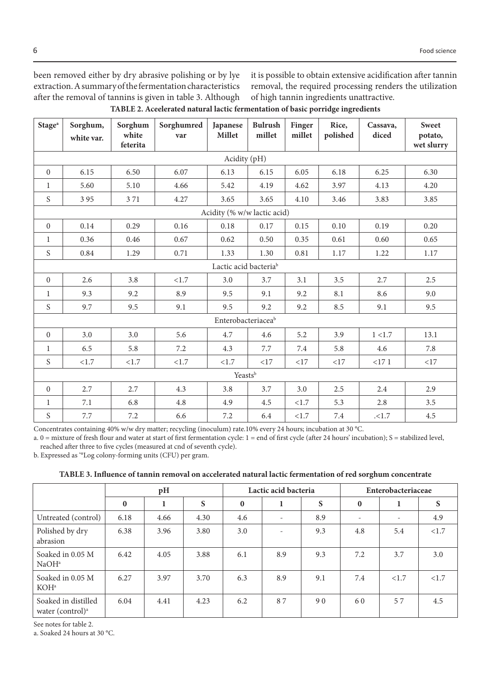been removed either by dry abrasive polishing or by lye extraction. A summary of the fermentation characteristics after the removal of tannins is given in table 3. Although it is possible to obtain extensive acidification after tannin removal, the required processing renders the utilization of high tannin ingredients unattractive.

| TABLE 2. Aceelerated natural lactic fermentation of basic porridge ingredients |  |  |  |
|--------------------------------------------------------------------------------|--|--|--|
|--------------------------------------------------------------------------------|--|--|--|

| Stage <sup>a</sup> | Sorghum,<br>white var. | Sorghum<br>white<br>feterita | Sorghumred<br>var | Japanese<br>Millet                | <b>Bulrush</b><br>millet | Finger<br>millet | Rice,<br>polished | Cassava,<br>diced | Sweet<br>potato,<br>wet slurry |
|--------------------|------------------------|------------------------------|-------------------|-----------------------------------|--------------------------|------------------|-------------------|-------------------|--------------------------------|
|                    |                        |                              |                   | Acidity (pH)                      |                          |                  |                   |                   |                                |
| $\overline{0}$     | 6.15                   | 6.50                         | 6.07              | 6.13                              | 6.15                     | 6.05             | 6.18              | 6.25              | 6.30                           |
| $\mathbf{1}$       | 5.60                   | 5.10                         | 4.66              | 5.42                              | 4.19                     | 4.62             | 3.97              | 4.13              | 4.20                           |
| S                  | 395                    | 371                          | 4.27              | 3.65                              | 3.65                     | 4.10             | 3.46              | 3.83              | 3.85                           |
|                    |                        |                              |                   | Acidity (% w/w lactic acid)       |                          |                  |                   |                   |                                |
| $\overline{0}$     | 0.14                   | 0.29                         | 0.16              | 0.18                              | 0.17                     | 0.15             | 0.10              | 0.19              | 0.20                           |
| $\mathbf{1}$       | 0.36                   | 0.46                         | 0.67              | 0.62                              | 0.50                     | 0.35             | 0.61              | 0.60              | 0.65                           |
| S                  | 0.84                   | 1.29                         | 0.71              | 1.33                              | 1.30                     | 0.81             | 1.17              | 1.22              | 1.17                           |
|                    |                        |                              |                   | Lactic acid bacteria <sup>b</sup> |                          |                  |                   |                   |                                |
| $\overline{0}$     | 2.6                    | 3.8                          | <1.7              | 3.0                               | 3.7                      | 3.1              | 3.5               | 2.7               | 2.5                            |
| $\mathbf{1}$       | 9.3                    | 9.2                          | 8.9               | 9.5                               | 9.1                      | 9.2              | 8.1               | 8.6               | 9.0                            |
| S                  | 9.7                    | 9.5                          | 9.1               | 9.5                               | 9.2                      | 9.2              | 8.5               | 9.1               | 9.5                            |
| Enterobacteriaceab |                        |                              |                   |                                   |                          |                  |                   |                   |                                |
| $\Omega$           | 3.0                    | 3.0                          | 5.6               | 4.7                               | 4.6                      | 5.2              | 3.9               | 1 < 1.7           | 13.1                           |
| $\mathbf{1}$       | 6.5                    | 5.8                          | 7.2               | 4.3                               | 7.7                      | 7.4              | 5.8               | 4.6               | 7.8                            |
| S                  | <1.7                   | <1.7                         | <1.7              | <1.7                              | <17                      | <17              | <17               | <171              | <17                            |
|                    |                        |                              |                   | Yeastsb                           |                          |                  |                   |                   |                                |
| $\overline{0}$     | 2.7                    | 2.7                          | 4.3               | 3.8                               | 3.7                      | 3.0              | 2.5               | 2.4               | 2.9                            |
| $\mathbf{1}$       | 7.1                    | 6.8                          | 4.8               | 4.9                               | 4.5                      | <1.7             | 5.3               | 2.8               | 3.5                            |
| S                  | 7.7                    | 7.2                          | 6.6               | 7.2                               | 6.4                      | <1.7             | 7.4               | .1.7              | 4.5                            |

Concentrates containing 40% w/w dry matter; recycling (inoculum) rate.10% every 24 hours; incubation at 30 °C.

a. 0 = mixture of fresh flour and water at start of first fermentation cycle: 1 = end of first cycle (after 24 hours' incubation); S = stabilized level, reached after three to five cycles (measured at cnd of seventh cycle).

b. Expressed as '°Log colony-forming units (CFU) per gram.

| TABLE 3. Influence of tannin removal on accelerated natural lactic fermentation of red sorghum concentrate |  |
|------------------------------------------------------------------------------------------------------------|--|
|------------------------------------------------------------------------------------------------------------|--|

|                                                                  |          | pH   |      |          | Lactic acid bacteria |     |                          | Enterobacteriaceae       |      |
|------------------------------------------------------------------|----------|------|------|----------|----------------------|-----|--------------------------|--------------------------|------|
|                                                                  | $\bf{0}$ | 1    | S    | $\bf{0}$ | 1                    | S   | $\bf{0}$                 | 1                        | S    |
| Untreated (control)                                              | 6.18     | 4.66 | 4.30 | 4.6      |                      | 8.9 | $\overline{\phantom{a}}$ | $\overline{\phantom{a}}$ | 4.9  |
| Polished by dry<br>abrasion                                      | 6.38     | 3.96 | 3.80 | 3.0      |                      | 9.3 | 4.8                      | 5.4                      | <1.7 |
| Soaked in 0.05 M<br>NaOH <sup>a</sup>                            | 6.42     | 4.05 | 3.88 | 6.1      | 8.9                  | 9.3 | 7.2                      | 3.7                      | 3.0  |
| Soaked in 0.05 M<br>KOH <sup>a</sup>                             | 6.27     | 3.97 | 3.70 | 6.3      | 8.9                  | 9.1 | 7.4                      | < 1.7                    | <1.7 |
| Soaked in distilled<br>water (control) <sup><math>a</math></sup> | 6.04     | 4.41 | 4.23 | 6.2      | 87                   | 90  | 60                       | 57                       | 4.5  |

See notes for table 2.

a. Soaked 24 hours at 30 °C.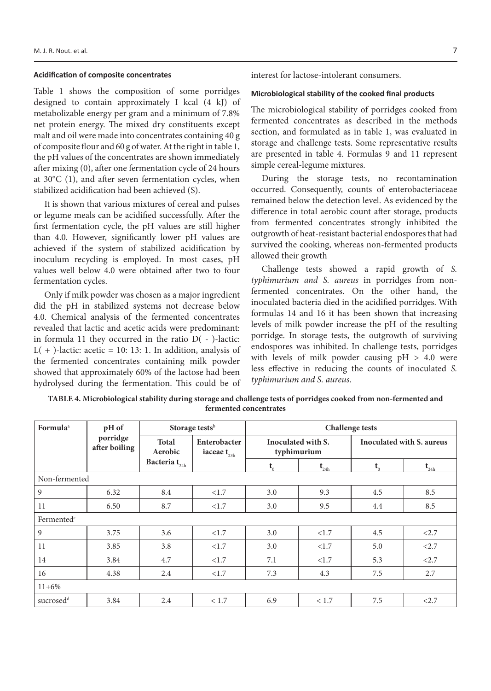#### **Acidification of composite concentrates**

Table 1 shows the composition of some porridges designed to contain approximately I kcal (4 kJ) of metabolizable energy per gram and a minimum of 7.8% net protein energy. The mixed dry constituents except malt and oil were made into concentrates containing 40 g of composite flour and 60 g of water. At the right in table 1, the pH values of the concentrates are shown immediately after mixing (0), after one fermentation cycle of 24 hours at 30°C (1), and after seven fermentation cycles, when stabilized acidification had been achieved (S).

It is shown that various mixtures of cereal and pulses or legume meals can be acidified successfully. After the first fermentation cycle, the pH values are still higher than 4.0. However, significantly lower pH values are achieved if the system of stabilized acidification by inoculum recycling is employed. In most cases, pH values well below 4.0 were obtained after two to four fermentation cycles.

Only if milk powder was chosen as a major ingredient did the pH in stabilized systems not decrease below 4.0. Chemical analysis of the fermented concentrates revealed that lactic and acetic acids were predominant: in formula 11 they occurred in the ratio D( - )-lactic:  $L( + )$ -lactic: acetic = 10: 13: 1. In addition, analysis of the fermented concentrates containing milk powder showed that approximately 60% of the lactose had been hydrolysed during the fermentation. This could be of interest for lactose-intolerant consumers.

# **Microbiological stability of the cooked final products**

The microbiological stability of porridges cooked from fermented concentrates as described in the methods section, and formulated as in table 1, was evaluated in storage and challenge tests. Some representative results are presented in table 4. Formulas 9 and 11 represent simple cereal-legume mixtures.

During the storage tests, no recontamination occurred. Consequently, counts of enterobacteriaceae remained below the detection level. As evidenced by the difference in total aerobic count after storage, products from fermented concentrates strongly inhibited the outgrowth of heat-resistant bacterial endospores that had survived the cooking, whereas non-fermented products allowed their growth

Challenge tests showed a rapid growth of *S. typhimurium and S. aureus* in porridges from nonfermented concentrates. On the other hand, the inoculated bacteria died in the acidified porridges. With formulas 14 and 16 it has been shown that increasing levels of milk powder increase the pH of the resulting porridge. In storage tests, the outgrowth of surviving endospores was inhibited. In challenge tests, porridges with levels of milk powder causing  $pH > 4.0$  were less effective in reducing the counts of inoculated *S. typhimurium and S. aureus*.

| Formula <sup>a</sup>   | pH of                     | Storage tests <sup>b</sup>              |                                                  |         |                                   | <b>Challenge tests</b> |                           |  |  |
|------------------------|---------------------------|-----------------------------------------|--------------------------------------------------|---------|-----------------------------------|------------------------|---------------------------|--|--|
|                        | porridge<br>after boiling | <b>Total</b><br>Aerobic                 | Enterobacter<br>iaceae $\mathbf{t}_{\text{23h}}$ |         | Inoculated with S.<br>typhimurium |                        | Inoculated with S. aureus |  |  |
|                        |                           | Bacteria $\mathbf{t}_{_{\textrm{24h}}}$ |                                                  | $t_{0}$ | $\mathbf{t}_{\text{24h}}$         | $t_{0}$                | $t_{24h}$                 |  |  |
| Non-fermented          |                           |                                         |                                                  |         |                                   |                        |                           |  |  |
| 9                      | 6.32                      | 8.4                                     | <1.7                                             | 3.0     | 9.3                               | 4.5                    | 8.5                       |  |  |
| 11                     | 6.50                      | 8.7                                     | <1.7                                             | 3.0     | 9.5                               | 4.4                    | 8.5                       |  |  |
| Fermented <sup>c</sup> |                           |                                         |                                                  |         |                                   |                        |                           |  |  |
| 9                      | 3.75                      | 3.6                                     | <1.7                                             | 3.0     | <1.7                              | 4.5                    | < 2.7                     |  |  |
| 11                     | 3.85                      | 3.8                                     | <1.7                                             | 3.0     | < 1.7                             | 5.0                    | < 2.7                     |  |  |
| 14                     | 3.84                      | 4.7                                     | <1.7                                             | 7.1     | <1.7                              | 5.3                    | < 2.7                     |  |  |
| 16                     | 4.38                      | 2.4                                     | <1.7                                             | 7.3     | 4.3                               | 7.5                    | 2.7                       |  |  |
| $11 + 6\%$             |                           |                                         |                                                  |         |                                   |                        |                           |  |  |
| sucrosed <sup>d</sup>  | 3.84                      | 2.4                                     | < 1.7                                            | 6.9     | < 1.7                             | 7.5                    | < 2.7                     |  |  |

**TABLE 4. Microbiological stability during storage and challenge tests of porridges cooked from non-fermented and fermented concentrates**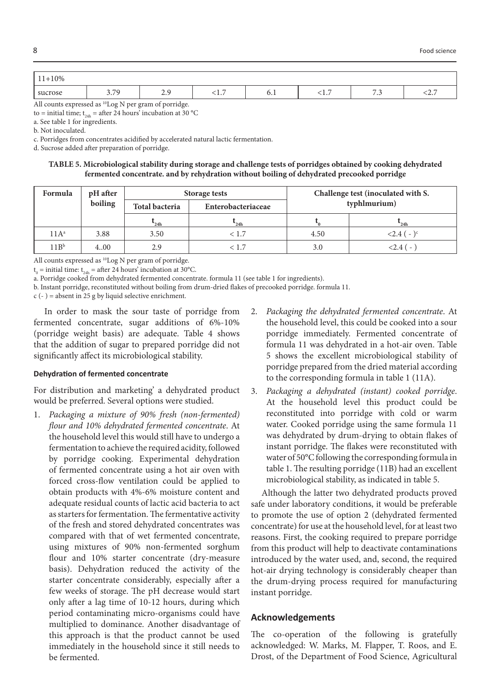| -10%<br>11<br><b>III</b> |             |                |                 |                               |            |                                           |                |
|--------------------------|-------------|----------------|-----------------|-------------------------------|------------|-------------------------------------------|----------------|
| sucrose                  | 370<br>J.IJ | $\sim$<br>ر، ۲ | -<br><b>1.1</b> | $\mathsf{U} \cdot \mathsf{I}$ | <b>1.7</b> | $\sim$ $\sim$<br>$\overline{\phantom{a}}$ | $\sim$<br>\2./ |

All counts expressed as <sup>10</sup>Log N per gram of porridge.

to = initial time;  $t_{24}$  = after 24 hours' incubation at 30 °C

a. See table 1 for ingredients.

b. Not inoculated.

c. Porridges from concentrates acidified by accelerated natural lactic fermentation.

d. Sucrose added after preparation of porridge.

**TABLE 5. Microbiological stability during storage and challenge tests of porridges obtained by cooking dehydrated fermented concentrate. and by rehydration without boiling of dehydrated precooked porridge**

| Formula          | pH after |                       | Storage tests      |      | Challenge test (inoculated with S. |
|------------------|----------|-----------------------|--------------------|------|------------------------------------|
|                  | boiling  | <b>Total bacteria</b> | Enterobacteriaceae |      | typhlmurium)                       |
|                  |          | 24h                   | 24h                |      | 24h                                |
| $11A^a$          | 3.88     | 3.50                  | < 1.7              | 4.50 | $< 2.4 (-)$ <sup>c</sup>           |
| 11B <sup>b</sup> | 4.00     | 2.9                   | < 1.7              | 3.0  | $2.4$ ( -                          |

All counts expressed as <sup>10</sup>Log N per gram of porridge.

 $t_0$  = initial time:  $t_{24h}$  = after 24 hours' incubation at 30°C.

a. Porridge cooked from dehydrated fermented concentrate. formula 11 (see table 1 for ingredients).

b. Instant porridge, reconstituted without boiling from drum-dried flakes of precooked porridge. formula 11.

 $c$  (-) = absent in 25 g by liquid selective enrichment.

In order to mask the sour taste of porridge from fermented concentrate, sugar additions of 6%-10% (porridge weight basis) are adequate. Table 4 shows that the addition of sugar to prepared porridge did not significantly affect its microbiological stability.

# **Dehydration of fermented concentrate**

For distribution and marketing' a dehydrated product would be preferred. Several options were studied.

- 1. *Packaging a mixture of 90% fresh (non-fermented) flour and 10% dehydrated fermented concentrate*. At the household level this would still have to undergo a fermentation to achieve the required acidity, followed by porridge cooking. Experimental dehydration of fermented concentrate using a hot air oven with forced cross-flow ventilation could be applied to obtain products with 4%-6% moisture content and adequate residual counts of lactic acid bacteria to act as starters for fermentation. The fermentative activity of the fresh and stored dehydrated concentrates was compared with that of wet fermented concentrate, using mixtures of 90% non-fermented sorghum flour and 10% starter concentrate (dry-measure basis). Dehydration reduced the activity of the starter concentrate considerably, especially after a few weeks of storage. The pH decrease would start only after a lag time of 10-12 hours, during which period contaminating micro-organisms could have multiplied to dominance. Another disadvantage of this approach is that the product cannot be used immediately in the household since it still needs to be fermented.
- 2. *Packaging the dehydrated fermented concentrate*. At the household level, this could be cooked into a sour porridge immediately. Fermented concentrate of formula 11 was dehydrated in a hot-air oven. Table 5 shows the excellent microbiological stability of porridge prepared from the dried material according to the corresponding formula in table 1 (11A).
- 3. *Packaging a dehydrated (instant) cooked porridge*. At the household level this product could be reconstituted into porridge with cold or warm water. Cooked porridge using the same formula 11 was dehydrated by drum-drying to obtain flakes of instant porridge. The flakes were reconstituted with water of 50°C following the corresponding formula in table 1. The resulting porridge (11B) had an excellent microbiological stability, as indicated in table 5.

Although the latter two dehydrated products proved safe under laboratory conditions, it would be preferable to promote the use of option 2 (dehydrated fermented concentrate) for use at the household level, for at least two reasons. First, the cooking required to prepare porridge from this product will help to deactivate contaminations introduced by the water used, and, second, the required hot-air drying technology is considerably cheaper than the drum-drying process required for manufacturing instant porridge.

# **Acknowledgements**

The co-operation of the following is gratefully acknowledged: W. Marks, M. Flapper, T. Roos, and E. Drost, of the Department of Food Science, Agricultural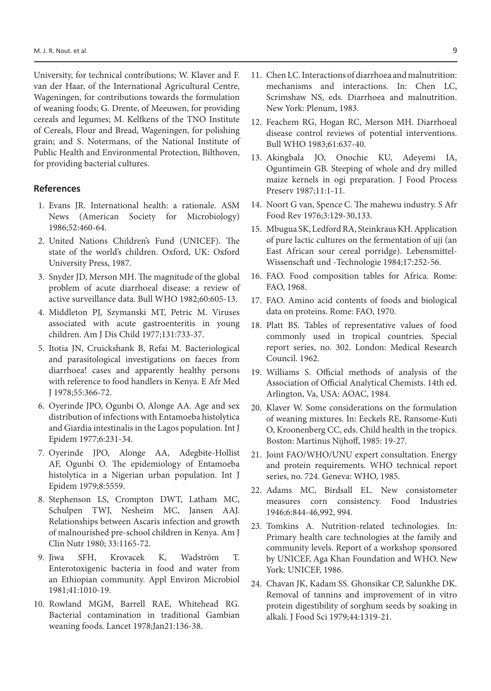University, for technical contributions; W. Klaver and F. van der Haar, of the International Agricultural Centre, Wageningen, for contributions towards the formulation of weaning foods; G. Drente, of Meeuwen, for providing cereals and legumes; M. Kelfkens of the TNO Institute of Cereals, Flour and Bread, Wageningen, for polishing grain; and S. Notermans, of the National Institute of Public Health and Environmental Protection, Bilthoven, for providing bacterial cultures.

#### **References**

- 1. Evans JR. International health: a rationale. ASM News (American Society for Microbiology) 1986;52:460-64.
- 2. United Nations Children's Fund (UNICEF). The state of the world's children. Oxford, UK: Oxford University Press, 1987.
- 3. Snyder JD, Merson MH. The magnitude of the global problem of acute diarrhoeal disease: a review of active surveillance data. Bull WHO 1982;60:605-13.
- 4. Middleton PJ, Szymanski MT, Petric M. Viruses associated with acute gastroenteritis in young children. Am J Dis Child 1977;131:733-37.
- 5. Itotia JN, Cruickshank B, Refai M. Bacteriological and parasitological investigations on faeces from diarrhoea! cases and apparently healthy persons with reference to food handlers in Kenya. E Afr Med J 1978;55:366-72.
- 6. Oyerinde JPO, Ogunbi O, Alonge AA. Age and sex distribution of infections with Entamoeba histolytica and Giardia intestinalis in the Lagos population. Int J Epidem 1977;6:231-34.
- 7. Oyerinde JPO, Alonge AA, Adegbite-Hollist AF, Ogunbi O. The epidemiology of Entamoeba histolytica in a Nigerian urban population. Int J Epidem 1979;8:5559.
- 8. Stephenson LS, Crompton DWT, Latham MC, Schulpen TWJ, Nesheim MC, Jansen AAJ. Relationships between Ascaris infection and growth of malnourished pre-school children in Kenya. Am J Clin Nutr 1980; 33:1165-72.
- 9. Jiwa SFH, Krovacek K, Wadström T. Enterotoxigenic bacteria in food and water from an Ethiopian community. Appl Environ Microbiol 1981;41:1010-19.
- 10. Rowland MGM, Barrell RAE, Whitehead RG. Bacterial contamination in traditional Gambian weaning foods. Lancet 1978;Jan21:136-38.
- 11. Chen LC. Interactions of diarrhoea and malnutrition: mechanisms and interactions. In: Chen LC, Scrimshaw NS, eds. Diarrhoea and malnutrition. New York: Plenum, 1983.
- 12. Feachem RG, Hogan RC, Merson MH. Diarrhoeal disease control reviews of potential interventions. Bull WHO 1983;61:637-40.
- 13. Akingbala JO, Onochie KU, Adeyemi IA, Oguntimein GB. Steeping of whole and dry milled maize kernels in ogi preparation. J Food Process Preserv 1987;11:1-11.
- 14. Noort G van, Spence C. The mahewu industry. S Afr Food Rev 1976;3:129-30,133.
- 15. Mbugua SK, Ledford RA, Steinkraus KH. Application of pure lactic cultures on the fermentation of uji (an East African sour cereal porridge). Lebensmittel-Wissenschaft und -Technologie 1984;17:252-56.
- 16. FAO. Food composition tables for Africa. Rome: FAO, 1968.
- 17. FAO. Amino acid contents of foods and biological data on proteins. Rome: FAO, 1970.
- 18. Platt BS. Tables of representative values of food commonly used in tropical countries. Special report series, no. 302. London: Medical Research Council. 1962.
- 19. Williams S. Official methods of analysis of the Association of Official Analytical Chemists. 14th ed. Arlington, Va, USA: AOAC, 1984.
- 20. Klaver W. Some considerations on the formulation of weaning mixtures. In: Eeckels RE, Ransome-Kuti O, Kroonenberg CC, eds. Child health in the tropics. Boston: Martinus Nijhoff, 1985: 19-27.
- 21. Joint FAO/WHO/UNU expert consultation. Energy and protein requirements. WHO technical report series, no. 724. Geneva: WHO, 1985.
- 22. Adams MC, Birdsall EL. New consistometer measures corn consistency. Food Industries 1946;6:844-46,992, 994.
- 23. Tomkins A. Nutrition-related technologies. In: Primary health care technologies at the family and community levels. Report of a workshop sponsored by UNICEF, Aga Khan Foundation and WHO. New York: UNICEF, 1986.
- 24. Chavan JK, Kadam SS. Ghonsikar CP, Salunkhe DK. Removal of tannins and improvement of in vitro protein digestibility of sorghum seeds by soaking in alkali. J Food Sci 1979;44:1319-21.